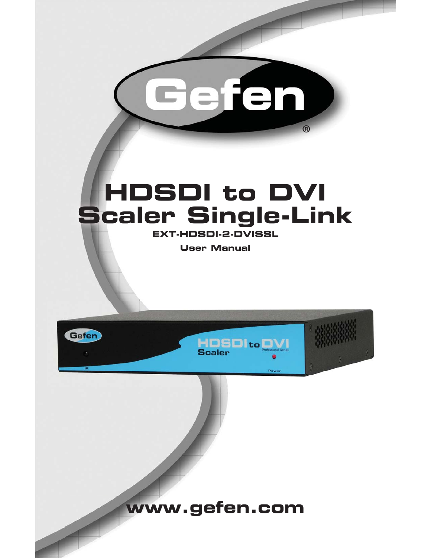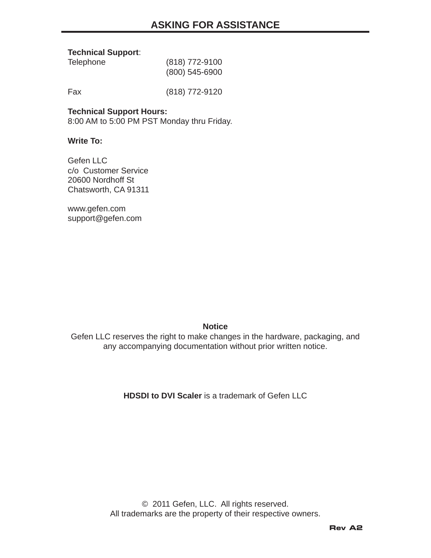#### **Technical Support**:

| <b>Telephone</b> | (818) 772-9100   |
|------------------|------------------|
|                  | $(800)$ 545-6900 |

Fax (818) 772-9120

#### **Technical Support Hours:**

8:00 AM to 5:00 PM PST Monday thru Friday.

#### **Write To:**

Gefen II C c/o Customer Service 20600 Nordhoff St Chatsworth, CA 91311

www.gefen.com support@gefen.com

#### **Notice**

Gefen LLC reserves the right to make changes in the hardware, packaging, and any accompanying documentation without prior written notice.

#### **HDSDI to DVI Scaler** is a trademark of Gefen LLC

© 2011 Gefen, LLC. All rights reserved. All trademarks are the property of their respective owners.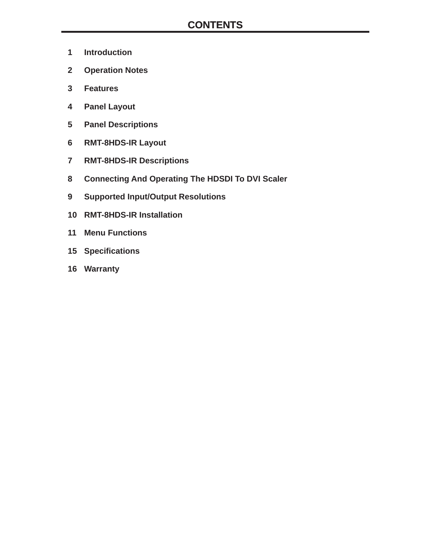- **1 Introduction**
- **2 Operation Notes**
- **3 Features**
- **4 Panel Layout**
- **5 Panel Descriptions**
- **6 RMT-8HDS-IR Layout**
- **7 RMT-8HDS-IR Descriptions**
- **8 Connecting And Operating The HDSDI To DVI Scaler**
- **9 Supported Input/Output Resolutions**
- **10 RMT-8HDS-IR Installation**
- **11 Menu Functions**
- **15 Specifi cations**
- **16 Warranty**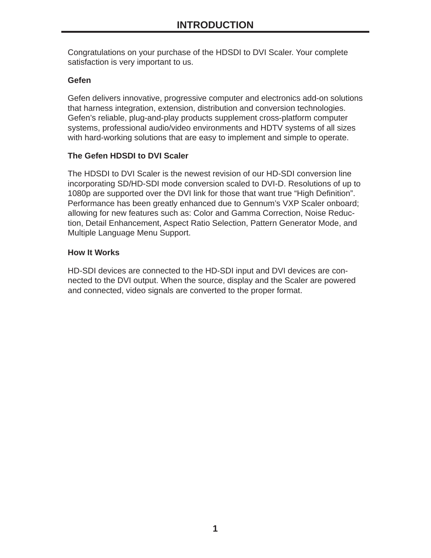Congratulations on your purchase of the HDSDI to DVI Scaler. Your complete satisfaction is very important to us.

# **Gefen**

Gefen delivers innovative, progressive computer and electronics add-on solutions that harness integration, extension, distribution and conversion technologies. Gefen's reliable, plug-and-play products supplement cross-platform computer systems, professional audio/video environments and HDTV systems of all sizes with hard-working solutions that are easy to implement and simple to operate.

## **The Gefen HDSDI to DVI Scaler**

The HDSDI to DVI Scaler is the newest revision of our HD-SDI conversion line incorporating SD/HD-SDI mode conversion scaled to DVI-D. Resolutions of up to 1080p are supported over the DVI link for those that want true "High Definition". Performance has been greatly enhanced due to Gennum's VXP Scaler onboard; allowing for new features such as: Color and Gamma Correction, Noise Reduction, Detail Enhancement, Aspect Ratio Selection, Pattern Generator Mode, and Multiple Language Menu Support.

## **How It Works**

HD-SDI devices are connected to the HD-SDI input and DVI devices are connected to the DVI output. When the source, display and the Scaler are powered and connected, video signals are converted to the proper format.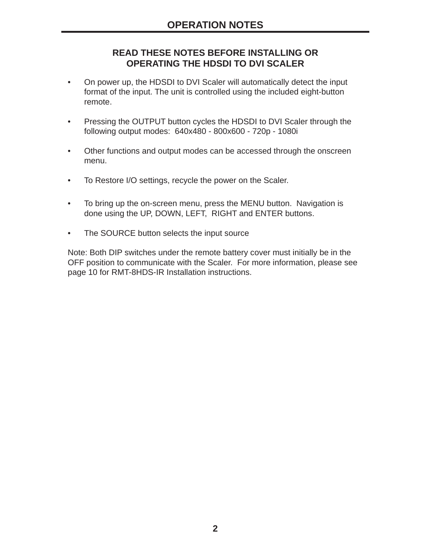# **READ THESE NOTES BEFORE INSTALLING OR OPERATING THE HDSDI TO DVI SCALER**

- On power up, the HDSDI to DVI Scaler will automatically detect the input format of the input. The unit is controlled using the included eight-button remote.
- Pressing the OUTPUT button cycles the HDSDI to DVI Scaler through the following output modes: 640x480 - 800x600 - 720p - 1080i
- Other functions and output modes can be accessed through the onscreen menu.
- To Restore I/O settings, recycle the power on the Scaler.
- To bring up the on-screen menu, press the MENU button. Navigation is done using the UP, DOWN, LEFT, RIGHT and ENTER buttons.
- The SOURCE button selects the input source

Note: Both DIP switches under the remote battery cover must initially be in the OFF position to communicate with the Scaler. For more information, please see page 10 for RMT-8HDS-IR Installation instructions.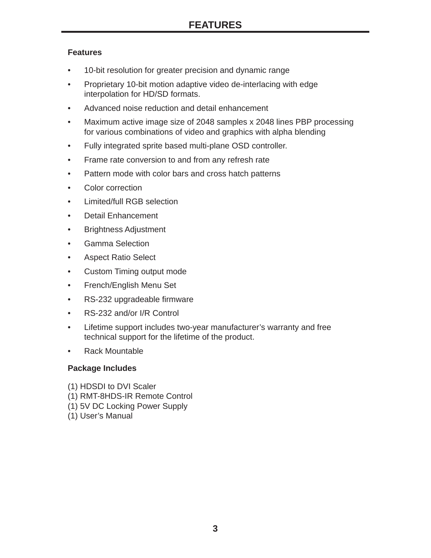## **Features**

- 10-bit resolution for greater precision and dynamic range
- Proprietary 10-bit motion adaptive video de-interlacing with edge interpolation for HD/SD formats.
- Advanced noise reduction and detail enhancement
- Maximum active image size of 2048 samples x 2048 lines PBP processing for various combinations of video and graphics with alpha blending
- Fully integrated sprite based multi-plane OSD controller.
- Frame rate conversion to and from any refresh rate
- Pattern mode with color bars and cross hatch patterns
- Color correction
- Limited/full RGB selection
- Detail Enhancement
- Brightness Adjustment
- Gamma Selection
- Aspect Ratio Select
- Custom Timing output mode
- French/English Menu Set
- RS-232 upgradeable firmware
- RS-232 and/or I/R Control
- Lifetime support includes two-year manufacturer's warranty and free technical support for the lifetime of the product.
- Rack Mountable

# **Package Includes**

- (1) HDSDI to DVI Scaler
- (1) RMT-8HDS-IR Remote Control
- (1) 5V DC Locking Power Supply
- (1) User's Manual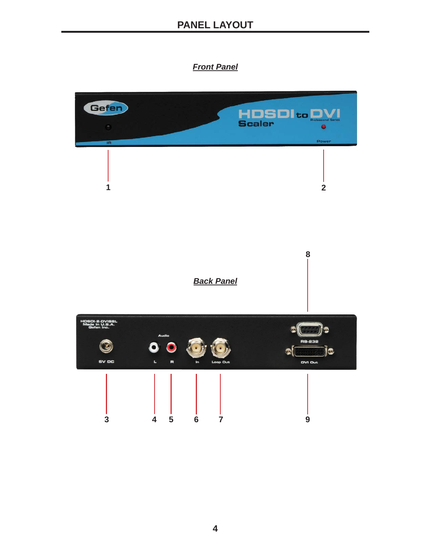# *Front Panel*

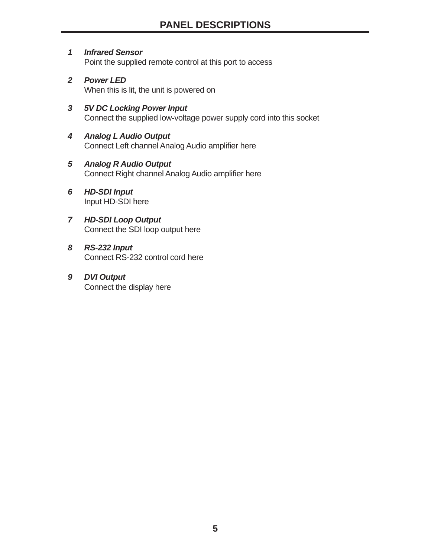- *1 Infrared Sensor* Point the supplied remote control at this port to access
- *2 Power LED* When this is lit, the unit is powered on
- *3 5V DC Locking Power Input* Connect the supplied low-voltage power supply cord into this socket
- *4 Analog L Audio Output* Connect Left channel Analog Audio amplifier here
- *5 Analog R Audio Output* Connect Right channel Analog Audio amplifier here
- *6 HD-SDI Input*  Input HD-SDI here
- *7 HD-SDI Loop Output*  Connect the SDI loop output here
- *8 RS-232 Input* Connect RS-232 control cord here
- *9 DVI Output*  Connect the display here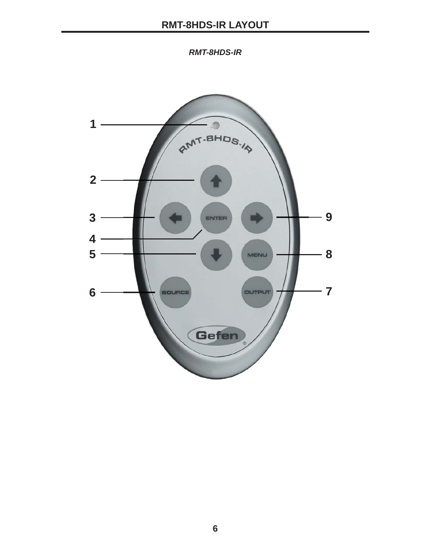*RMT-8HDS-IR*

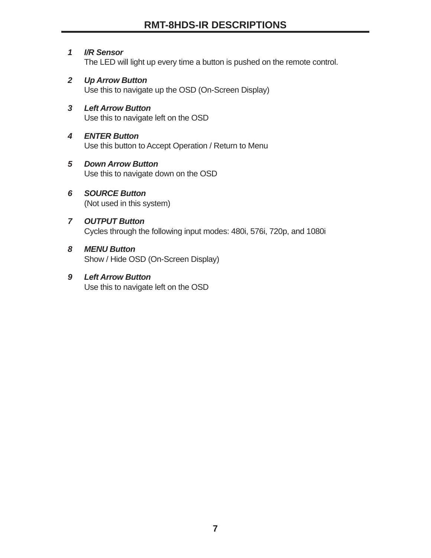# *1 I/R Sensor*

The LED will light up every time a button is pushed on the remote control.

*2 Up Arrow Button* Use this to navigate up the OSD (On-Screen Display)

#### *3 Left Arrow Button*  Use this to navigate left on the OSD

#### *4 ENTER Button* Use this button to Accept Operation / Return to Menu

### *5 Down Arrow Button* Use this to navigate down on the OSD

#### *6 SOURCE Button* (Not used in this system)

#### *7 OUTPUT Button* Cycles through the following input modes: 480i, 576i, 720p, and 1080i

#### *8 MENU Button* Show / Hide OSD (On-Screen Display)

#### *9 Left Arrow Button*  Use this to navigate left on the OSD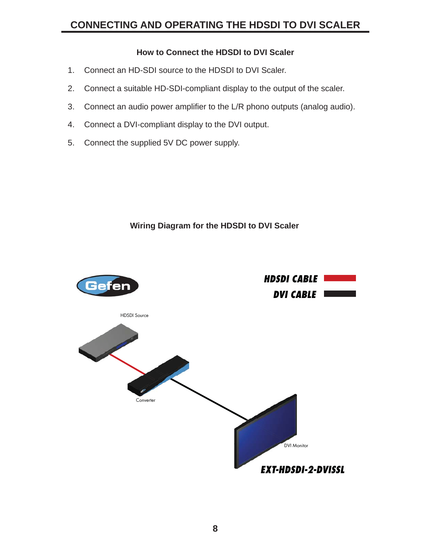# **CONNECTING AND OPERATING THE HDSDI TO DVI SCALER**

## **How to Connect the HDSDI to DVI Scaler**

- 1. Connect an HD-SDI source to the HDSDI to DVI Scaler.
- 2. Connect a suitable HD-SDI-compliant display to the output of the scaler.
- 3. Connect an audio power amplifier to the L/R phono outputs (analog audio).
- 4. Connect a DVI-compliant display to the DVI output.
- 5. Connect the supplied 5V DC power supply.

#### **Wiring Diagram for the HDSDI to DVI Scaler**

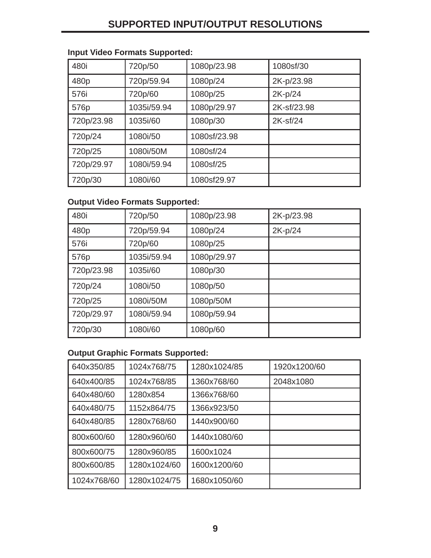# **SUPPORTED INPUT/OUTPUT RESOLUTIONS**

# **Input Video Formats Supported:**

| 480i       | 720p/50     | 1080p/23.98  | 1080sf/30   |
|------------|-------------|--------------|-------------|
| 480p       | 720p/59.94  | 1080p/24     | 2K-p/23.98  |
| 576i       | 720p/60     | 1080p/25     | 2K-p/24     |
| 576p       | 1035i/59.94 | 1080p/29.97  | 2K-sf/23.98 |
| 720p/23.98 | 1035i/60    | 1080p/30     | 2K-sf/24    |
| 720p/24    | 1080i/50    | 1080sf/23.98 |             |
| 720p/25    | 1080i/50M   | 1080sf/24    |             |
| 720p/29.97 | 1080i/59.94 | 1080sf/25    |             |
| 720p/30    | 1080i/60    | 1080sf29.97  |             |

## **Output Video Formats Supported:**

| 480i       | 720p/50     | 1080p/23.98 | 2K-p/23.98 |
|------------|-------------|-------------|------------|
| 480p       | 720p/59.94  | 1080p/24    | 2K-p/24    |
| 576i       | 720p/60     | 1080p/25    |            |
| 576p       | 1035i/59.94 | 1080p/29.97 |            |
| 720p/23.98 | 1035i/60    | 1080p/30    |            |
| 720p/24    | 1080i/50    | 1080p/50    |            |
| 720p/25    | 1080i/50M   | 1080p/50M   |            |
| 720p/29.97 | 1080i/59.94 | 1080p/59.94 |            |
| 720p/30    | 1080i/60    | 1080p/60    |            |

## **Output Graphic Formats Supported:**

| 640x350/85  | 1024x768/75  | 1280x1024/85 | 1920x1200/60 |
|-------------|--------------|--------------|--------------|
| 640x400/85  | 1024x768/85  | 1360x768/60  | 2048x1080    |
| 640x480/60  | 1280x854     | 1366x768/60  |              |
| 640x480/75  | 1152x864/75  | 1366x923/50  |              |
| 640x480/85  | 1280x768/60  | 1440x900/60  |              |
| 800x600/60  | 1280x960/60  | 1440x1080/60 |              |
| 800x600/75  | 1280x960/85  | 1600x1024    |              |
| 800x600/85  | 1280x1024/60 | 1600x1200/60 |              |
| 1024x768/60 | 1280x1024/75 | 1680x1050/60 |              |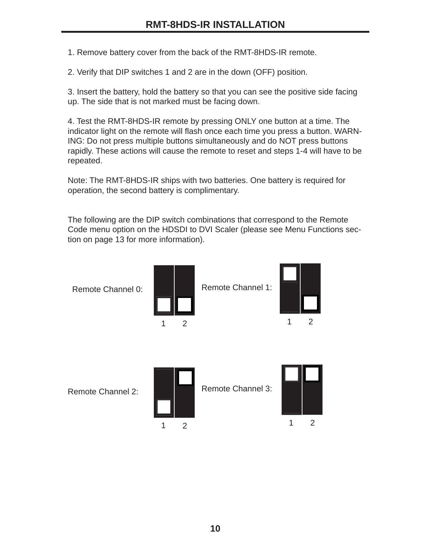1. Remove battery cover from the back of the RMT-8HDS-IR remote.

2. Verify that DIP switches 1 and 2 are in the down (OFF) position.

3. Insert the battery, hold the battery so that you can see the positive side facing up. The side that is not marked must be facing down.

4. Test the RMT-8HDS-IR remote by pressing ONLY one button at a time. The indicator light on the remote will flash once each time you press a button. WARN-ING: Do not press multiple buttons simultaneously and do NOT press buttons rapidly. These actions will cause the remote to reset and steps 1-4 will have to be repeated.

Note: The RMT-8HDS-IR ships with two batteries. One battery is required for operation, the second battery is complimentary.

The following are the DIP switch combinations that correspond to the Remote Code menu option on the HDSDI to DVI Scaler (please see Menu Functions section on page 13 for more information).

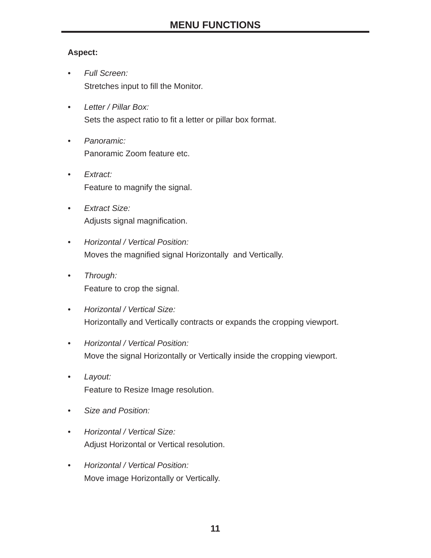# **Aspect:**

- *Full Screen:*  Stretches input to fill the Monitor.
- *Letter / Pillar Box:*  Sets the aspect ratio to fit a letter or pillar box format.
- *Panoramic:*  Panoramic Zoom feature etc.
- *Extract:* Feature to magnify the signal.
- *Extract Size:*  Adjusts signal magnification.
- *Horizontal / Vertical Position:*  Moves the magnified signal Horizontally and Vertically.
- *Through:*  Feature to crop the signal.
- *Horizontal / Vertical Size:*  Horizontally and Vertically contracts or expands the cropping viewport.
- *Horizontal / Vertical Position:*  Move the signal Horizontally or Vertically inside the cropping viewport.
- *Layout:*  Feature to Resize Image resolution.
- *Size and Position:*
- *Horizontal / Vertical Size:*  Adjust Horizontal or Vertical resolution.
- *Horizontal / Vertical Position:*  Move image Horizontally or Vertically.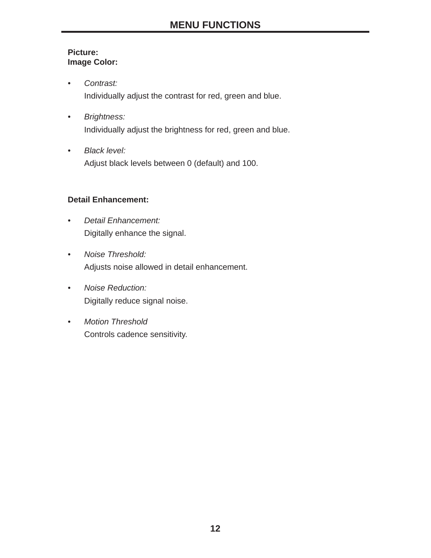### **Picture: Image Color:**

- *Contrast:*  Individually adjust the contrast for red, green and blue.
- *Brightness:* Individually adjust the brightness for red, green and blue.
- *Black level:* Adjust black levels between 0 (default) and 100.

# **Detail Enhancement:**

- *Detail Enhancement:*  Digitally enhance the signal.
- *Noise Threshold:*  Adjusts noise allowed in detail enhancement.
- *Noise Reduction:*  Digitally reduce signal noise.
- *Motion Threshold* Controls cadence sensitivity.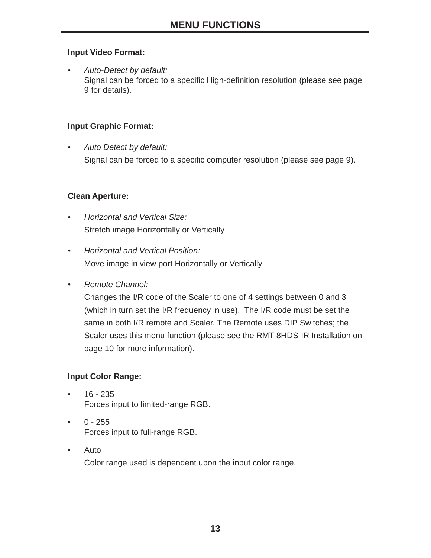## **Input Video Format:**

*• Auto-Detect by default:*  Signal can be forced to a specific High-definition resolution (please see page 9 for details).

## **Input Graphic Format:**

*• Auto Detect by default:* Signal can be forced to a specific computer resolution (please see page 9).

## **Clean Aperture:**

- *Horizontal and Vertical Size:*  Stretch image Horizontally or Vertically
- *Horizontal and Vertical Position:*  Move image in view port Horizontally or Vertically
- *Remote Channel:*

Changes the I/R code of the Scaler to one of 4 settings between 0 and 3 (which in turn set the I/R frequency in use). The I/R code must be set the same in both I/R remote and Scaler. The Remote uses DIP Switches; the Scaler uses this menu function (please see the RMT-8HDS-IR Installation on page 10 for more information).

# **Input Color Range:**

- $16 235$ Forces input to limited-range RGB.
- $\bullet$  0 255 Forces input to full-range RGB.
- Auto Color range used is dependent upon the input color range.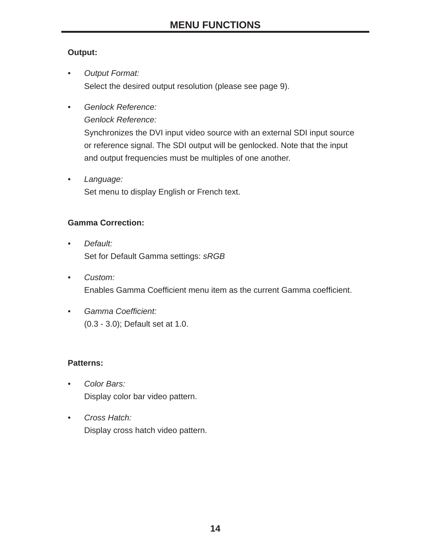# **Output:**

- *Output Format:*  Select the desired output resolution (please see page 9).
- *Genlock Reference:*

*Genlock Reference:* 

Synchronizes the DVI input video source with an external SDI input source or reference signal. The SDI output will be genlocked. Note that the input and output frequencies must be multiples of one another.

*• Language:*  Set menu to display English or French text.

# **Gamma Correction:**

- *Default:*  Set for Default Gamma settings: *sRGB*
- *Custom:*  Enables Gamma Coefficient menu item as the current Gamma coefficient.
- Gamma Coefficient: (0.3 - 3.0); Default set at 1.0.

# **Patterns:**

- *Color Bars:* Display color bar video pattern.
- *Cross Hatch:* Display cross hatch video pattern.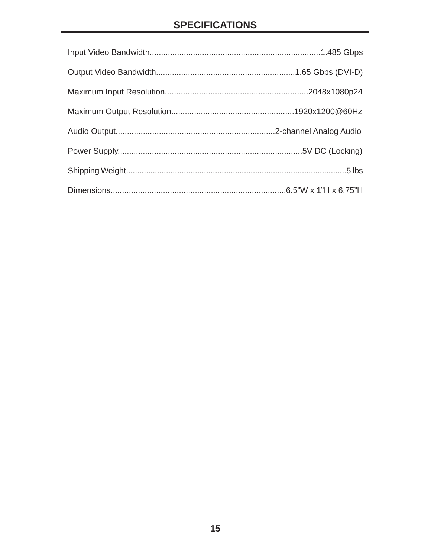# **SPECIFICATIONS**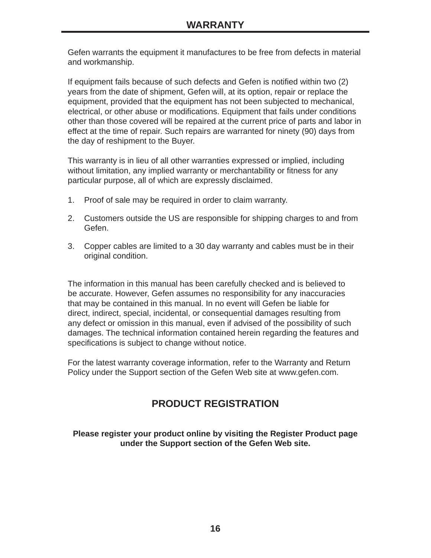Gefen warrants the equipment it manufactures to be free from defects in material and workmanship.

If equipment fails because of such defects and Gefen is notified within two (2) years from the date of shipment, Gefen will, at its option, repair or replace the equipment, provided that the equipment has not been subjected to mechanical, electrical, or other abuse or modifications. Equipment that fails under conditions other than those covered will be repaired at the current price of parts and labor in effect at the time of repair. Such repairs are warranted for ninety (90) days from the day of reshipment to the Buyer.

This warranty is in lieu of all other warranties expressed or implied, including without limitation, any implied warranty or merchantability or fitness for any particular purpose, all of which are expressly disclaimed.

- 1. Proof of sale may be required in order to claim warranty.
- 2. Customers outside the US are responsible for shipping charges to and from Gefen.
- 3. Copper cables are limited to a 30 day warranty and cables must be in their original condition.

The information in this manual has been carefully checked and is believed to be accurate. However, Gefen assumes no responsibility for any inaccuracies that may be contained in this manual. In no event will Gefen be liable for direct, indirect, special, incidental, or consequential damages resulting from any defect or omission in this manual, even if advised of the possibility of such damages. The technical information contained herein regarding the features and specifications is subject to change without notice.

For the latest warranty coverage information, refer to the Warranty and Return Policy under the Support section of the Gefen Web site at www.gefen.com.

# **PRODUCT REGISTRATION**

#### **Please register your product online by visiting the Register Product page under the Support section of the Gefen Web site.**